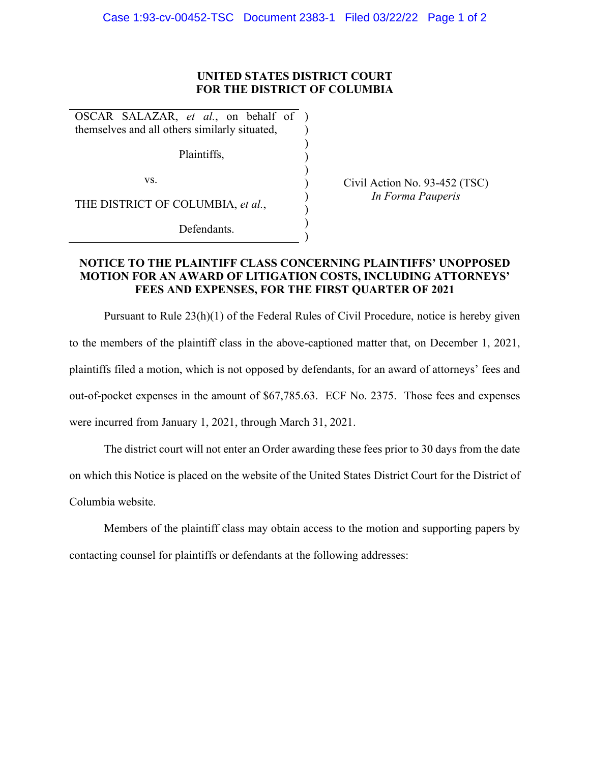## **UNITED STATES DISTRICT COURT FOR THE DISTRICT OF COLUMBIA**

) ) ) ) ) ) ) ) )

OSCAR SALAZAR, *et al.*, on behalf of ) themselves and all others similarly situated,

Plaintiffs,

vs.

THE DISTRICT OF COLUMBIA, *et al.*,

Defendants.

Civil Action No. 93-452 (TSC) *In Forma Pauperis* 

## **NOTICE TO THE PLAINTIFF CLASS CONCERNING PLAINTIFFS' UNOPPOSED MOTION FOR AN AWARD OF LITIGATION COSTS, INCLUDING ATTORNEYS' FEES AND EXPENSES, FOR THE FIRST QUARTER OF 2021**

Pursuant to Rule 23(h)(1) of the Federal Rules of Civil Procedure, notice is hereby given to the members of the plaintiff class in the above-captioned matter that, on December 1, 2021, plaintiffs filed a motion, which is not opposed by defendants, for an award of attorneys' fees and out-of-pocket expenses in the amount of \$67,785.63. ECF No. 2375. Those fees and expenses were incurred from January 1, 2021, through March 31, 2021.

The district court will not enter an Order awarding these fees prior to 30 days from the date on which this Notice is placed on the website of the United States District Court for the District of Columbia website.

Members of the plaintiff class may obtain access to the motion and supporting papers by contacting counsel for plaintiffs or defendants at the following addresses: